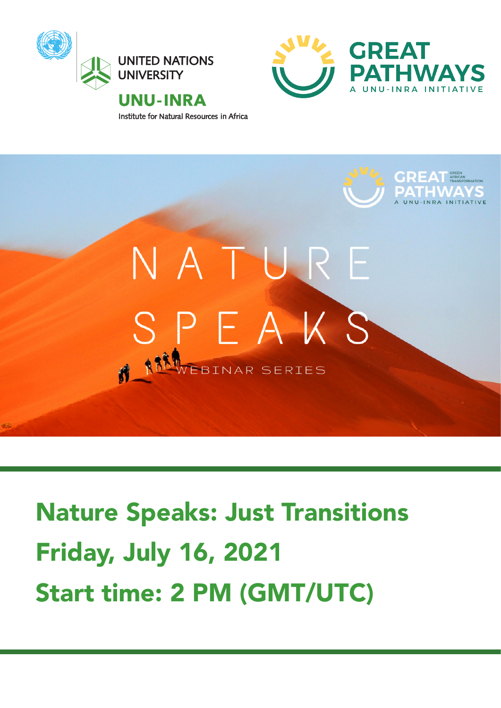

Institute for Natural Resources in Africa





# Nature Speaks: Just Transitions Friday, July 16, 2021 Start time: 2 PM (GMT/UTC)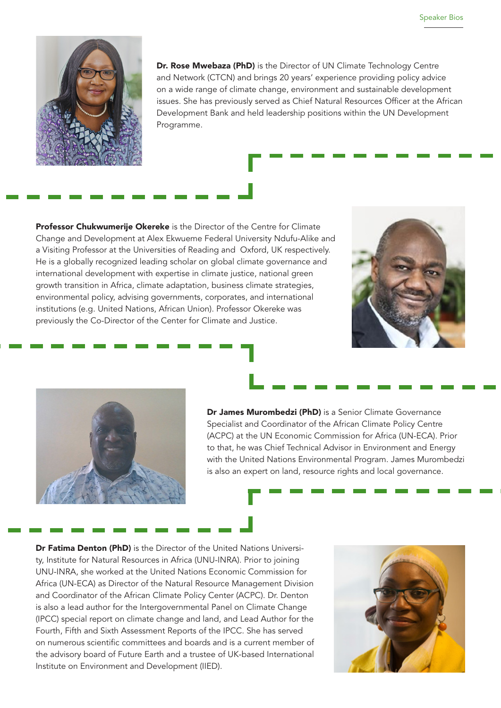

Dr. Rose Mwebaza (PhD) is the Director of UN Climate Technology Centre and Network (CTCN) and brings 20 years' experience providing policy advice on a wide range of climate change, environment and sustainable development issues. She has previously served as Chief Natural Resources Officer at the African Development Bank and held leadership positions within the UN Development Programme.

Professor Chukwumerije Okereke is the Director of the Centre for Climate Change and Development at Alex Ekwueme Federal University Ndufu-Alike and a Visiting Professor at the Universities of Reading and Oxford, UK respectively. He is a globally recognized leading scholar on global climate governance and international development with expertise in climate justice, national green growth transition in Africa, climate adaptation, business climate strategies, environmental policy, advising governments, corporates, and international institutions (e.g. United Nations, African Union). Professor Okereke was previously the Co-Director of the Center for Climate and Justice.





Dr James Murombedzi (PhD) is a Senior Climate Governance Specialist and Coordinator of the African Climate Policy Centre (ACPC) at the UN Economic Commission for Africa (UN-ECA). Prior to that, he was Chief Technical Advisor in Environment and Energy with the United Nations Environmental Program. James Murombedzi is also an expert on land, resource rights and local governance.

Dr Fatima Denton (PhD) is the Director of the United Nations University, Institute for Natural Resources in Africa (UNU-INRA). Prior to joining UNU-INRA, she worked at the United Nations Economic Commission for Africa (UN-ECA) as Director of the Natural Resource Management Division and Coordinator of the African Climate Policy Center (ACPC). Dr. Denton is also a lead author for the Intergovernmental Panel on Climate Change (IPCC) special report on climate change and land, and Lead Author for the Fourth, Fifth and Sixth Assessment Reports of the IPCC. She has served on numerous scientific committees and boards and is a current member of the advisory board of Future Earth and a trustee of UK-based International Institute on Environment and Development (IIED).